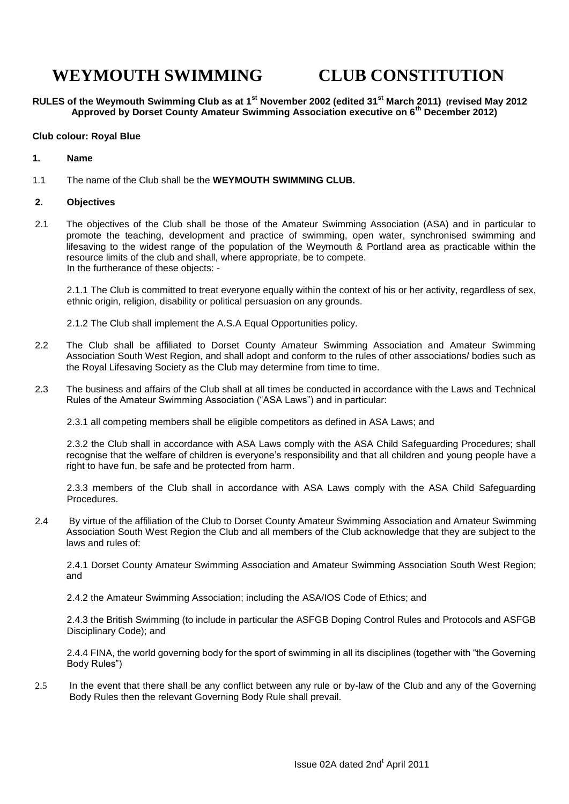# **WEYMOUTH SWIMMING CLUB CONSTITUTION**

**RULES of the Weymouth Swimming Club as at 1st November 2002 (edited 31st March 2011) (revised May 2012 Approved by Dorset County Amateur Swimming Association executive on 6th December 2012)**

#### **Club colour: Royal Blue**

#### **1. Name**

1.1 The name of the Club shall be the **WEYMOUTH SWIMMING CLUB.**

#### **2. Objectives**

2.1 The objectives of the Club shall be those of the Amateur Swimming Association (ASA) and in particular to promote the teaching, development and practice of swimming, open water, synchronised swimming and lifesaving to the widest range of the population of the Weymouth & Portland area as practicable within the resource limits of the club and shall, where appropriate, be to compete. In the furtherance of these objects: -

2.1.1 The Club is committed to treat everyone equally within the context of his or her activity, regardless of sex, ethnic origin, religion, disability or political persuasion on any grounds.

- 2.1.2 The Club shall implement the A.S.A Equal Opportunities policy.
- 2.2 The Club shall be affiliated to Dorset County Amateur Swimming Association and Amateur Swimming Association South West Region, and shall adopt and conform to the rules of other associations/ bodies such as the Royal Lifesaving Society as the Club may determine from time to time.
- 2.3 The business and affairs of the Club shall at all times be conducted in accordance with the Laws and Technical Rules of the Amateur Swimming Association ("ASA Laws") and in particular:

2.3.1 all competing members shall be eligible competitors as defined in ASA Laws; and

2.3.2 the Club shall in accordance with ASA Laws comply with the ASA Child Safeguarding Procedures; shall recognise that the welfare of children is everyone's responsibility and that all children and young people have a right to have fun, be safe and be protected from harm.

2.3.3 members of the Club shall in accordance with ASA Laws comply with the ASA Child Safeguarding Procedures.

2.4 By virtue of the affiliation of the Club to Dorset County Amateur Swimming Association and Amateur Swimming Association South West Region the Club and all members of the Club acknowledge that they are subject to the laws and rules of:

2.4.1 Dorset County Amateur Swimming Association and Amateur Swimming Association South West Region; and

2.4.2 the Amateur Swimming Association; including the ASA/IOS Code of Ethics; and

2.4.3 the British Swimming (to include in particular the ASFGB Doping Control Rules and Protocols and ASFGB Disciplinary Code); and

2.4.4 FINA, the world governing body for the sport of swimming in all its disciplines (together with "the Governing Body Rules")

2.5 In the event that there shall be any conflict between any rule or by-law of the Club and any of the Governing Body Rules then the relevant Governing Body Rule shall prevail.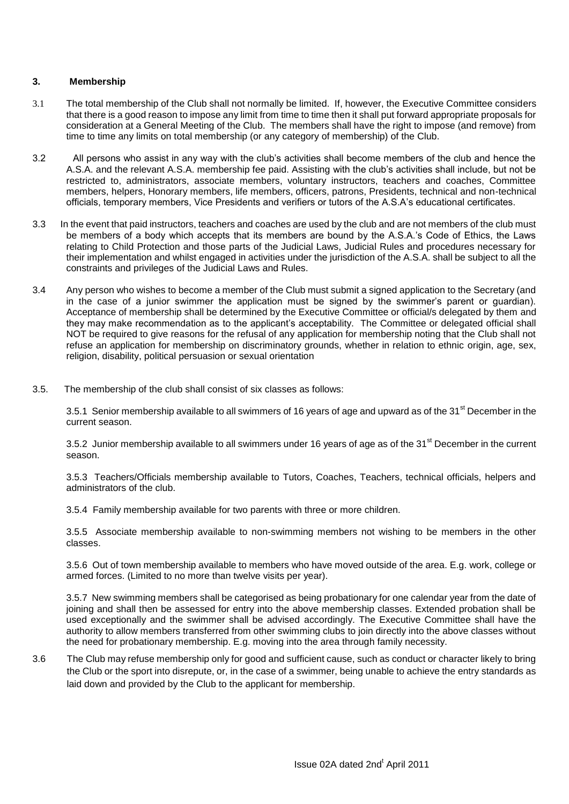## **3. Membership**

- 3.1 The total membership of the Club shall not normally be limited. If, however, the Executive Committee considers that there is a good reason to impose any limit from time to time then it shall put forward appropriate proposals for consideration at a General Meeting of the Club. The members shall have the right to impose (and remove) from time to time any limits on total membership (or any category of membership) of the Club.
- 3.2 All persons who assist in any way with the club's activities shall become members of the club and hence the A.S.A. and the relevant A.S.A. membership fee paid. Assisting with the club's activities shall include, but not be restricted to, administrators, associate members, voluntary instructors, teachers and coaches, Committee members, helpers, Honorary members, life members, officers, patrons, Presidents, technical and non-technical officials, temporary members, Vice Presidents and verifiers or tutors of the A.S.A's educational certificates.
- 3.3 In the event that paid instructors, teachers and coaches are used by the club and are not members of the club must be members of a body which accepts that its members are bound by the A.S.A.'s Code of Ethics, the Laws relating to Child Protection and those parts of the Judicial Laws, Judicial Rules and procedures necessary for their implementation and whilst engaged in activities under the jurisdiction of the A.S.A. shall be subject to all the constraints and privileges of the Judicial Laws and Rules.
- 3.4 Any person who wishes to become a member of the Club must submit a signed application to the Secretary (and in the case of a junior swimmer the application must be signed by the swimmer's parent or guardian). Acceptance of membership shall be determined by the Executive Committee or official/s delegated by them and they may make recommendation as to the applicant's acceptability. The Committee or delegated official shall NOT be required to give reasons for the refusal of any application for membership noting that the Club shall not refuse an application for membership on discriminatory grounds, whether in relation to ethnic origin, age, sex, religion, disability, political persuasion or sexual orientation
- 3.5. The membership of the club shall consist of six classes as follows:

3.5.1 Senior membership available to all swimmers of 16 years of age and upward as of the 31<sup>st</sup> December in the current season.

3.5.2 Junior membership available to all swimmers under 16 years of age as of the 31<sup>st</sup> December in the current season.

3.5.3 Teachers/Officials membership available to Tutors, Coaches, Teachers, technical officials, helpers and administrators of the club.

3.5.4 Family membership available for two parents with three or more children.

3.5.5 Associate membership available to non-swimming members not wishing to be members in the other classes.

3.5.6 Out of town membership available to members who have moved outside of the area. E.g. work, college or armed forces. (Limited to no more than twelve visits per year).

3.5.7 New swimming members shall be categorised as being probationary for one calendar year from the date of joining and shall then be assessed for entry into the above membership classes. Extended probation shall be used exceptionally and the swimmer shall be advised accordingly. The Executive Committee shall have the authority to allow members transferred from other swimming clubs to join directly into the above classes without the need for probationary membership. E.g. moving into the area through family necessity.

3.6 The Club may refuse membership only for good and sufficient cause, such as conduct or character likely to bring the Club or the sport into disrepute, or, in the case of a swimmer, being unable to achieve the entry standards as laid down and provided by the Club to the applicant for membership.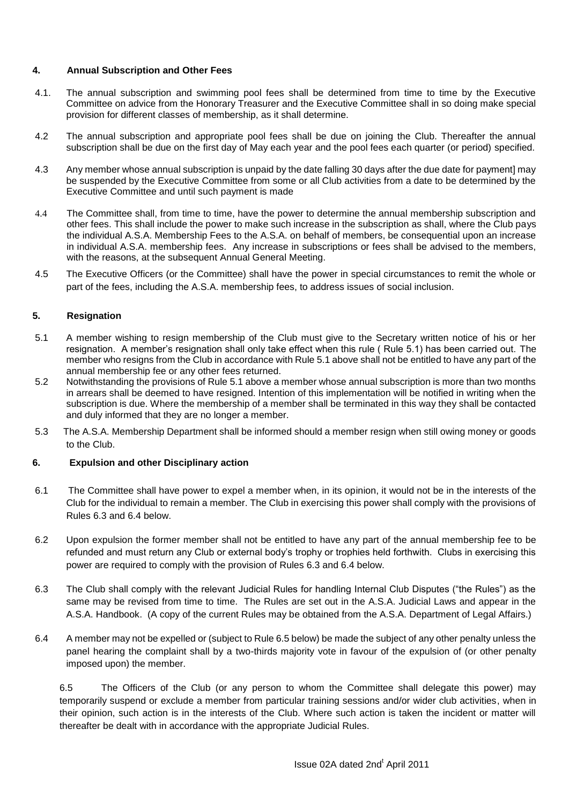## **4. Annual Subscription and Other Fees**

- 4.1. The annual subscription and swimming pool fees shall be determined from time to time by the Executive Committee on advice from the Honorary Treasurer and the Executive Committee shall in so doing make special provision for different classes of membership, as it shall determine.
- 4.2 The annual subscription and appropriate pool fees shall be due on joining the Club. Thereafter the annual subscription shall be due on the first day of May each year and the pool fees each quarter (or period) specified.
- 4.3 Any member whose annual subscription is unpaid by the date falling 30 days after the due date for payment] may be suspended by the Executive Committee from some or all Club activities from a date to be determined by the Executive Committee and until such payment is made
- 4.4 The Committee shall, from time to time, have the power to determine the annual membership subscription and other fees. This shall include the power to make such increase in the subscription as shall, where the Club pays the individual A.S.A. Membership Fees to the A.S.A. on behalf of members, be consequential upon an increase in individual A.S.A. membership fees. Any increase in subscriptions or fees shall be advised to the members, with the reasons, at the subsequent Annual General Meeting.
- 4.5 The Executive Officers (or the Committee) shall have the power in special circumstances to remit the whole or part of the fees, including the A.S.A. membership fees, to address issues of social inclusion.

## **5. Resignation**

- 5.1 A member wishing to resign membership of the Club must give to the Secretary written notice of his or her resignation. A member's resignation shall only take effect when this rule ( Rule 5.1) has been carried out. The member who resigns from the Club in accordance with Rule 5.1 above shall not be entitled to have any part of the annual membership fee or any other fees returned.
- 5.2 Notwithstanding the provisions of Rule 5.1 above a member whose annual subscription is more than two months in arrears shall be deemed to have resigned. Intention of this implementation will be notified in writing when the subscription is due. Where the membership of a member shall be terminated in this way they shall be contacted and duly informed that they are no longer a member.
- 5.3 The A.S.A. Membership Department shall be informed should a member resign when still owing money or goods to the Club.

## **6. Expulsion and other Disciplinary action**

- 6.1 The Committee shall have power to expel a member when, in its opinion, it would not be in the interests of the Club for the individual to remain a member. The Club in exercising this power shall comply with the provisions of Rules 6.3 and 6.4 below.
- 6.2 Upon expulsion the former member shall not be entitled to have any part of the annual membership fee to be refunded and must return any Club or external body's trophy or trophies held forthwith. Clubs in exercising this power are required to comply with the provision of Rules 6.3 and 6.4 below.
- 6.3 The Club shall comply with the relevant Judicial Rules for handling Internal Club Disputes ("the Rules") as the same may be revised from time to time. The Rules are set out in the A.S.A. Judicial Laws and appear in the A.S.A. Handbook. (A copy of the current Rules may be obtained from the A.S.A. Department of Legal Affairs.)
- 6.4 A member may not be expelled or (subject to Rule 6.5 below) be made the subject of any other penalty unless the panel hearing the complaint shall by a two-thirds majority vote in favour of the expulsion of (or other penalty imposed upon) the member.

6.5 The Officers of the Club (or any person to whom the Committee shall delegate this power) may temporarily suspend or exclude a member from particular training sessions and/or wider club activities, when in their opinion, such action is in the interests of the Club. Where such action is taken the incident or matter will thereafter be dealt with in accordance with the appropriate Judicial Rules.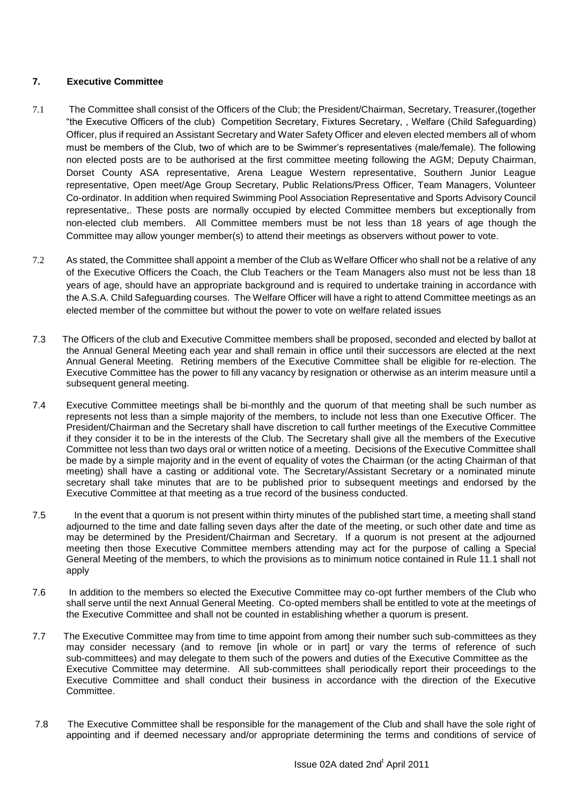# **7. Executive Committee**

- 7.1 The Committee shall consist of the Officers of the Club; the President/Chairman, Secretary, Treasurer,(together "the Executive Officers of the club) Competition Secretary, Fixtures Secretary, , Welfare (Child Safeguarding) Officer, plus if required an Assistant Secretary and Water Safety Officer and eleven elected members all of whom must be members of the Club, two of which are to be Swimmer's representatives (male/female). The following non elected posts are to be authorised at the first committee meeting following the AGM; Deputy Chairman, Dorset County ASA representative, Arena League Western representative, Southern Junior League representative, Open meet/Age Group Secretary, Public Relations/Press Officer, Team Managers, Volunteer Co-ordinator. In addition when required Swimming Pool Association Representative and Sports Advisory Council representative,. These posts are normally occupied by elected Committee members but exceptionally from non-elected club members. All Committee members must be not less than 18 years of age though the Committee may allow younger member(s) to attend their meetings as observers without power to vote.
- 7.2 As stated, the Committee shall appoint a member of the Club as Welfare Officer who shall not be a relative of any of the Executive Officers the Coach, the Club Teachers or the Team Managers also must not be less than 18 years of age, should have an appropriate background and is required to undertake training in accordance with the A.S.A. Child Safeguarding courses. The Welfare Officer will have a right to attend Committee meetings as an elected member of the committee but without the power to vote on welfare related issues
- 7.3 The Officers of the club and Executive Committee members shall be proposed, seconded and elected by ballot at the Annual General Meeting each year and shall remain in office until their successors are elected at the next Annual General Meeting. Retiring members of the Executive Committee shall be eligible for re-election. The Executive Committee has the power to fill any vacancy by resignation or otherwise as an interim measure until a subsequent general meeting.
- 7.4 Executive Committee meetings shall be bi-monthly and the quorum of that meeting shall be such number as represents not less than a simple majority of the members, to include not less than one Executive Officer. The President/Chairman and the Secretary shall have discretion to call further meetings of the Executive Committee if they consider it to be in the interests of the Club. The Secretary shall give all the members of the Executive Committee not less than two days oral or written notice of a meeting. Decisions of the Executive Committee shall be made by a simple majority and in the event of equality of votes the Chairman (or the acting Chairman of that meeting) shall have a casting or additional vote. The Secretary/Assistant Secretary or a nominated minute secretary shall take minutes that are to be published prior to subsequent meetings and endorsed by the Executive Committee at that meeting as a true record of the business conducted.
- 7.5 In the event that a quorum is not present within thirty minutes of the published start time, a meeting shall stand adjourned to the time and date falling seven days after the date of the meeting, or such other date and time as may be determined by the President/Chairman and Secretary. If a quorum is not present at the adjourned meeting then those Executive Committee members attending may act for the purpose of calling a Special General Meeting of the members, to which the provisions as to minimum notice contained in Rule 11.1 shall not apply
- 7.6 In addition to the members so elected the Executive Committee may co-opt further members of the Club who shall serve until the next Annual General Meeting. Co-opted members shall be entitled to vote at the meetings of the Executive Committee and shall not be counted in establishing whether a quorum is present.
- 7.7 The Executive Committee may from time to time appoint from among their number such sub-committees as they may consider necessary (and to remove [in whole or in part] or vary the terms of reference of such sub-committees) and may delegate to them such of the powers and duties of the Executive Committee as the Executive Committee may determine. All sub-committees shall periodically report their proceedings to the Executive Committee and shall conduct their business in accordance with the direction of the Executive Committee.
- 7.8 The Executive Committee shall be responsible for the management of the Club and shall have the sole right of appointing and if deemed necessary and/or appropriate determining the terms and conditions of service of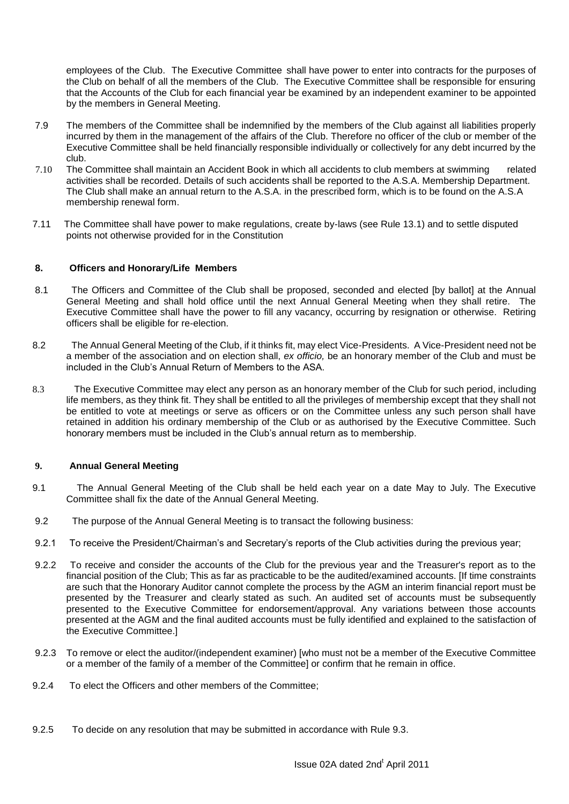employees of the Club. The Executive Committee shall have power to enter into contracts for the purposes of the Club on behalf of all the members of the Club. The Executive Committee shall be responsible for ensuring that the Accounts of the Club for each financial year be examined by an independent examiner to be appointed by the members in General Meeting.

- 7.9 The members of the Committee shall be indemnified by the members of the Club against all liabilities properly incurred by them in the management of the affairs of the Club. Therefore no officer of the club or member of the Executive Committee shall be held financially responsible individually or collectively for any debt incurred by the club.
- 7.10 The Committee shall maintain an Accident Book in which all accidents to club members at swimming related activities shall be recorded. Details of such accidents shall be reported to the A.S.A. Membership Department. The Club shall make an annual return to the A.S.A. in the prescribed form, which is to be found on the A.S.A membership renewal form.
- 7.11 The Committee shall have power to make regulations, create by-laws (see Rule 13.1) and to settle disputed points not otherwise provided for in the Constitution

## **8. Officers and Honorary/Life Members**

- 8.1 The Officers and Committee of the Club shall be proposed, seconded and elected [by ballot] at the Annual General Meeting and shall hold office until the next Annual General Meeting when they shall retire. The Executive Committee shall have the power to fill any vacancy, occurring by resignation or otherwise. Retiring officers shall be eligible for re-election.
- 8.2 The Annual General Meeting of the Club, if it thinks fit, may elect Vice-Presidents. A Vice-President need not be a member of the association and on election shall, *ex officio,* be an honorary member of the Club and must be included in the Club's Annual Return of Members to the ASA.
- 8.3 The Executive Committee may elect any person as an honorary member of the Club for such period, including life members, as they think fit. They shall be entitled to all the privileges of membership except that they shall not be entitled to vote at meetings or serve as officers or on the Committee unless any such person shall have retained in addition his ordinary membership of the Club or as authorised by the Executive Committee. Such honorary members must be included in the Club's annual return as to membership.

#### **9. Annual General Meeting**

- 9.1 The Annual General Meeting of the Club shall be held each year on a date May to July. The Executive Committee shall fix the date of the Annual General Meeting.
- 9.2 The purpose of the Annual General Meeting is to transact the following business:
- 9.2.1 To receive the President/Chairman's and Secretary's reports of the Club activities during the previous year;
- 9.2.2 To receive and consider the accounts of the Club for the previous year and the Treasurer's report as to the financial position of the Club; This as far as practicable to be the audited/examined accounts. [If time constraints are such that the Honorary Auditor cannot complete the process by the AGM an interim financial report must be presented by the Treasurer and clearly stated as such. An audited set of accounts must be subsequently presented to the Executive Committee for endorsement/approval. Any variations between those accounts presented at the AGM and the final audited accounts must be fully identified and explained to the satisfaction of the Executive Committee.]
- 9.2.3 To remove or elect the auditor/(independent examiner) [who must not be a member of the Executive Committee or a member of the family of a member of the Committee] or confirm that he remain in office.
- 9.2.4 To elect the Officers and other members of the Committee;
- 9.2.5 To decide on any resolution that may be submitted in accordance with Rule 9.3.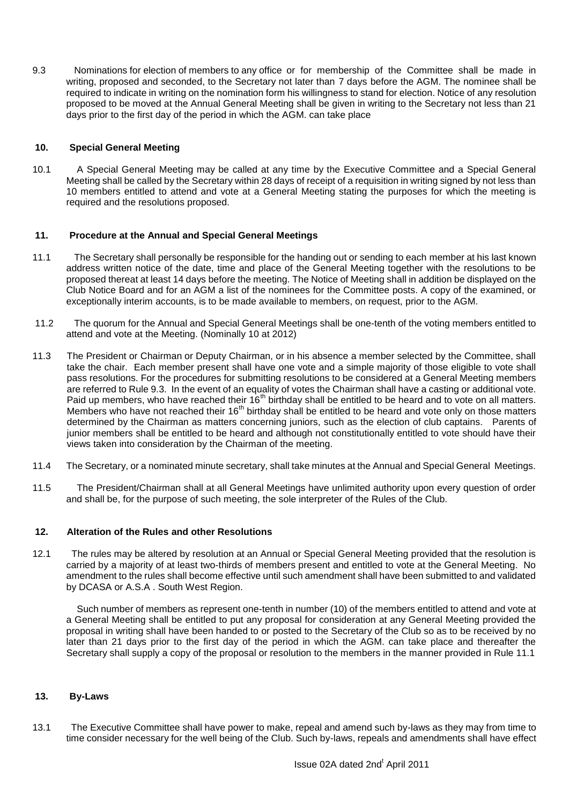9.3 Nominations for election of members to any office or for membership of the Committee shall be made in writing, proposed and seconded, to the Secretary not later than 7 days before the AGM. The nominee shall be required to indicate in writing on the nomination form his willingness to stand for election. Notice of any resolution proposed to be moved at the Annual General Meeting shall be given in writing to the Secretary not less than 21 days prior to the first day of the period in which the AGM. can take place

## **10. Special General Meeting**

10.1 A Special General Meeting may be called at any time by the Executive Committee and a Special General Meeting shall be called by the Secretary within 28 days of receipt of a requisition in writing signed by not less than 10 members entitled to attend and vote at a General Meeting stating the purposes for which the meeting is required and the resolutions proposed.

#### **11. Procedure at the Annual and Special General Meetings**

- 11.1 The Secretary shall personally be responsible for the handing out or sending to each member at his last known address written notice of the date, time and place of the General Meeting together with the resolutions to be proposed thereat at least 14 days before the meeting. The Notice of Meeting shall in addition be displayed on the Club Notice Board and for an AGM a list of the nominees for the Committee posts. A copy of the examined, or exceptionally interim accounts, is to be made available to members, on request, prior to the AGM.
- 11.2 The quorum for the Annual and Special General Meetings shall be one-tenth of the voting members entitled to attend and vote at the Meeting. (Nominally 10 at 2012)
- 11.3 The President or Chairman or Deputy Chairman, or in his absence a member selected by the Committee, shall take the chair. Each member present shall have one vote and a simple majority of those eligible to vote shall pass resolutions. For the procedures for submitting resolutions to be considered at a General Meeting members are referred to Rule 9.3. In the event of an equality of votes the Chairman shall have a casting or additional vote. Paid up members, who have reached their 16<sup>th</sup> birthday shall be entitled to be heard and to vote on all matters. Members who have not reached their 16<sup>th</sup> birthday shall be entitled to be heard and vote only on those matters determined by the Chairman as matters concerning juniors, such as the election of club captains. Parents of junior members shall be entitled to be heard and although not constitutionally entitled to vote should have their views taken into consideration by the Chairman of the meeting.
- 11.4 The Secretary, or a nominated minute secretary, shall take minutes at the Annual and Special General Meetings.
- 11.5 The President/Chairman shall at all General Meetings have unlimited authority upon every question of order and shall be, for the purpose of such meeting, the sole interpreter of the Rules of the Club.

#### **12. Alteration of the Rules and other Resolutions**

12.1 The rules may be altered by resolution at an Annual or Special General Meeting provided that the resolution is carried by a majority of at least two-thirds of members present and entitled to vote at the General Meeting. No amendment to the rules shall become effective until such amendment shall have been submitted to and validated by DCASA or A.S.A . South West Region.

 Such number of members as represent one-tenth in number (10) of the members entitled to attend and vote at a General Meeting shall be entitled to put any proposal for consideration at any General Meeting provided the proposal in writing shall have been handed to or posted to the Secretary of the Club so as to be received by no later than 21 days prior to the first day of the period in which the AGM. can take place and thereafter the Secretary shall supply a copy of the proposal or resolution to the members in the manner provided in Rule 11.1

## **13. By-Laws**

13.1 The Executive Committee shall have power to make, repeal and amend such by-laws as they may from time to time consider necessary for the well being of the Club. Such by-laws, repeals and amendments shall have effect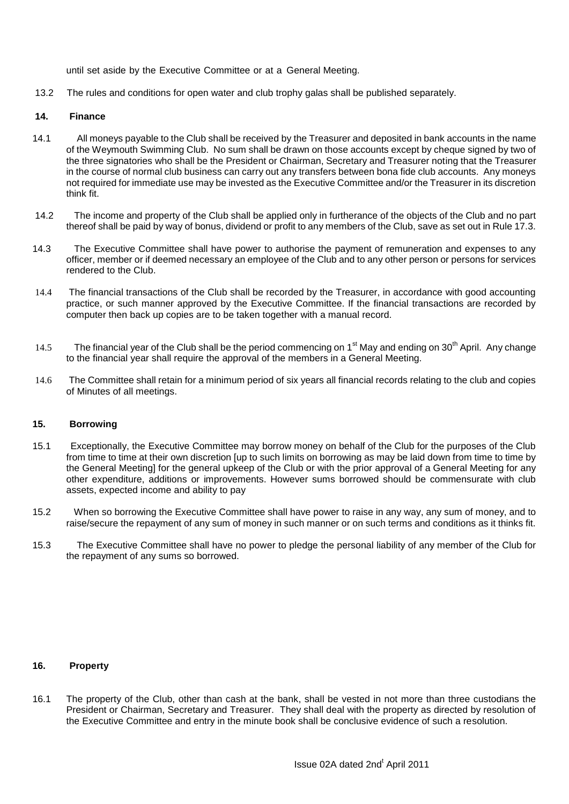until set aside by the Executive Committee or at a General Meeting.

13.2 The rules and conditions for open water and club trophy galas shall be published separately.

## **14. Finance**

- 14.1 All moneys payable to the Club shall be received by the Treasurer and deposited in bank accounts in the name of the Weymouth Swimming Club. No sum shall be drawn on those accounts except by cheque signed by two of the three signatories who shall be the President or Chairman, Secretary and Treasurer noting that the Treasurer in the course of normal club business can carry out any transfers between bona fide club accounts. Any moneys not required for immediate use may be invested as the Executive Committee and/or the Treasurer in its discretion think fit.
- 14.2 The income and property of the Club shall be applied only in furtherance of the objects of the Club and no part thereof shall be paid by way of bonus, dividend or profit to any members of the Club, save as set out in Rule 17.3.
- 14.3 The Executive Committee shall have power to authorise the payment of remuneration and expenses to any officer, member or if deemed necessary an employee of the Club and to any other person or persons for services rendered to the Club.
- 14.4 The financial transactions of the Club shall be recorded by the Treasurer, in accordance with good accounting practice, or such manner approved by the Executive Committee. If the financial transactions are recorded by computer then back up copies are to be taken together with a manual record.
- 14.5 The financial year of the Club shall be the period commencing on  $1<sup>st</sup>$  May and ending on  $30<sup>th</sup>$  April. Any change to the financial year shall require the approval of the members in a General Meeting.
- 14.6 The Committee shall retain for a minimum period of six years all financial records relating to the club and copies of Minutes of all meetings.

#### **15. Borrowing**

- 15.1 Exceptionally, the Executive Committee may borrow money on behalf of the Club for the purposes of the Club from time to time at their own discretion [up to such limits on borrowing as may be laid down from time to time by the General Meeting] for the general upkeep of the Club or with the prior approval of a General Meeting for any other expenditure, additions or improvements. However sums borrowed should be commensurate with club assets, expected income and ability to pay
- 15.2 When so borrowing the Executive Committee shall have power to raise in any way, any sum of money, and to raise/secure the repayment of any sum of money in such manner or on such terms and conditions as it thinks fit.
- 15.3 The Executive Committee shall have no power to pledge the personal liability of any member of the Club for the repayment of any sums so borrowed.

#### **16. Property**

16.1 The property of the Club, other than cash at the bank, shall be vested in not more than three custodians the President or Chairman, Secretary and Treasurer. They shall deal with the property as directed by resolution of the Executive Committee and entry in the minute book shall be conclusive evidence of such a resolution.